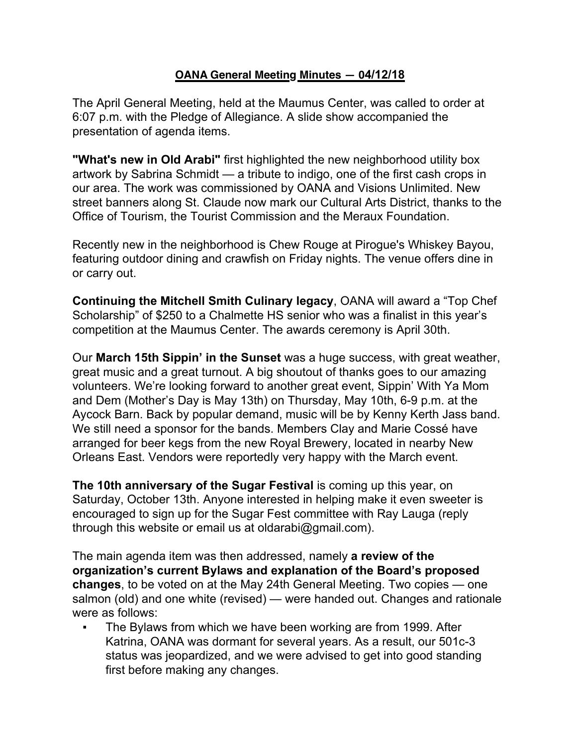## **OANA General Meeting Minutes — 04/12/18**

The April General Meeting, held at the Maumus Center, was called to order at 6:07 p.m. with the Pledge of Allegiance. A slide show accompanied the presentation of agenda items.

**"What's new in Old Arabi"** first highlighted the new neighborhood utility box artwork by Sabrina Schmidt — a tribute to indigo, one of the first cash crops in our area. The work was commissioned by OANA and Visions Unlimited. New street banners along St. Claude now mark our Cultural Arts District, thanks to the Office of Tourism, the Tourist Commission and the Meraux Foundation.

Recently new in the neighborhood is Chew Rouge at Pirogue's Whiskey Bayou, featuring outdoor dining and crawfish on Friday nights. The venue offers dine in or carry out.

**Continuing the Mitchell Smith Culinary legacy**, OANA will award a "Top Chef Scholarship" of \$250 to a Chalmette HS senior who was a finalist in this year's competition at the Maumus Center. The awards ceremony is April 30th.

Our **March 15th Sippin' in the Sunset** was a huge success, with great weather, great music and a great turnout. A big shoutout of thanks goes to our amazing volunteers. We're looking forward to another great event, Sippin' With Ya Mom and Dem (Mother's Day is May 13th) on Thursday, May 10th, 6-9 p.m. at the Aycock Barn. Back by popular demand, music will be by Kenny Kerth Jass band. We still need a sponsor for the bands. Members Clay and Marie Cossé have arranged for beer kegs from the new Royal Brewery, located in nearby New Orleans East. Vendors were reportedly very happy with the March event.

**The 10th anniversary of the Sugar Festival** is coming up this year, on Saturday, October 13th. Anyone interested in helping make it even sweeter is encouraged to sign up for the Sugar Fest committee with Ray Lauga (reply through this website or email us at oldarabi@gmail.com).

The main agenda item was then addressed, namely **a review of the organization's current Bylaws and explanation of the Board's proposed changes**, to be voted on at the May 24th General Meeting. Two copies — one salmon (old) and one white (revised) — were handed out. Changes and rationale were as follows:

The Bylaws from which we have been working are from 1999. After Katrina, OANA was dormant for several years. As a result, our 501c-3 status was jeopardized, and we were advised to get into good standing first before making any changes.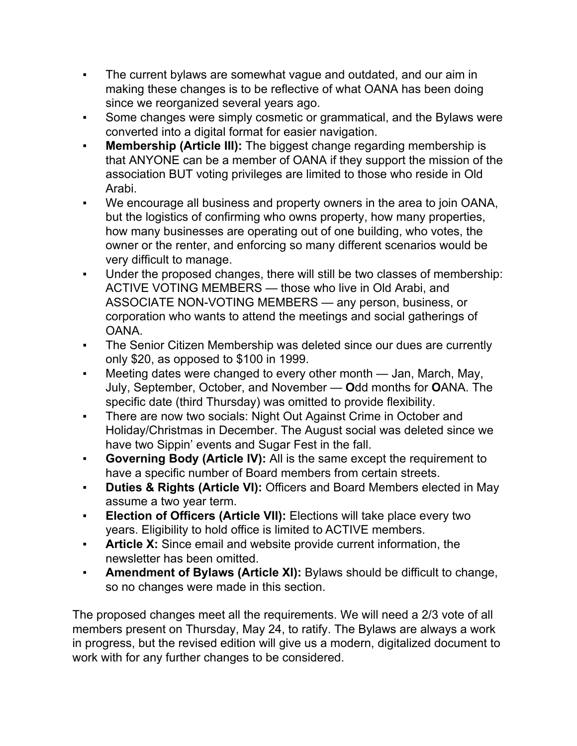- The current bylaws are somewhat vague and outdated, and our aim in making these changes is to be reflective of what OANA has been doing since we reorganized several years ago.
- Some changes were simply cosmetic or grammatical, and the Bylaws were converted into a digital format for easier navigation.
- **Membership (Article III):** The biggest change regarding membership is that ANYONE can be a member of OANA if they support the mission of the association BUT voting privileges are limited to those who reside in Old Arabi.
- We encourage all business and property owners in the area to join OANA, but the logistics of confirming who owns property, how many properties, how many businesses are operating out of one building, who votes, the owner or the renter, and enforcing so many different scenarios would be very difficult to manage.
- Under the proposed changes, there will still be two classes of membership: ACTIVE VOTING MEMBERS — those who live in Old Arabi, and ASSOCIATE NON-VOTING MEMBERS — any person, business, or corporation who wants to attend the meetings and social gatherings of OANA.
- The Senior Citizen Membership was deleted since our dues are currently only \$20, as opposed to \$100 in 1999.
- Meeting dates were changed to every other month Jan, March, May, July, September, October, and November — **O**dd months for **O**ANA. The specific date (third Thursday) was omitted to provide flexibility.
- **There are now two socials: Night Out Against Crime in October and** Holiday/Christmas in December. The August social was deleted since we have two Sippin' events and Sugar Fest in the fall.
- **Governing Body (Article IV):** All is the same except the requirement to have a specific number of Board members from certain streets.
- **Duties & Rights (Article VI): Officers and Board Members elected in May** assume a two year term.
- **Election of Officers (Article VII):** Elections will take place every two years. Eligibility to hold office is limited to ACTIVE members.
- **Article X:** Since email and website provide current information, the newsletter has been omitted.
- **Amendment of Bylaws (Article XI):** Bylaws should be difficult to change, so no changes were made in this section.

The proposed changes meet all the requirements. We will need a 2/3 vote of all members present on Thursday, May 24, to ratify. The Bylaws are always a work in progress, but the revised edition will give us a modern, digitalized document to work with for any further changes to be considered.